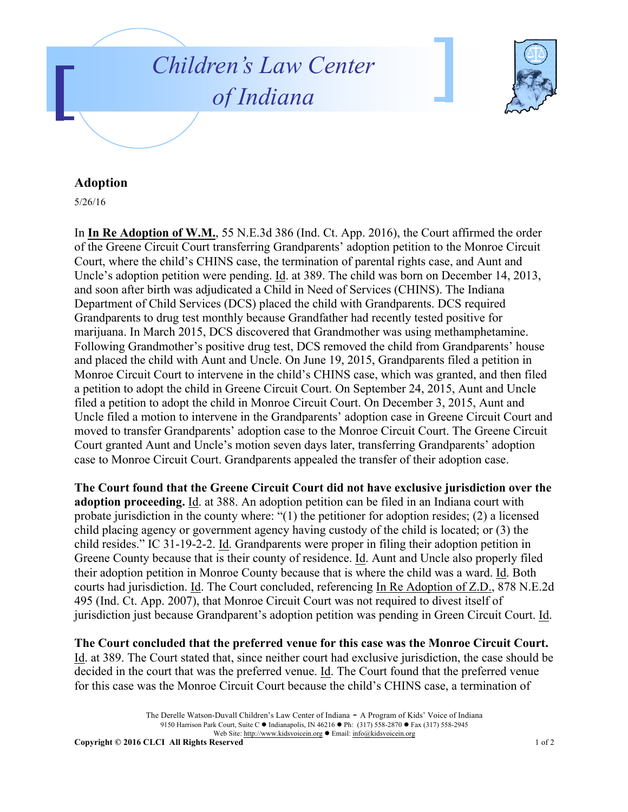



## **Adoption**

5/26/16

In **In Re Adoption of W.M.**, 55 N.E.3d 386 (Ind. Ct. App. 2016), the Court affirmed the order of the Greene Circuit Court transferring Grandparents' adoption petition to the Monroe Circuit Court, where the child's CHINS case, the termination of parental rights case, and Aunt and Uncle's adoption petition were pending. Id. at 389. The child was born on December 14, 2013, and soon after birth was adjudicated a Child in Need of Services (CHINS). The Indiana Department of Child Services (DCS) placed the child with Grandparents. DCS required Grandparents to drug test monthly because Grandfather had recently tested positive for marijuana. In March 2015, DCS discovered that Grandmother was using methamphetamine. Following Grandmother's positive drug test, DCS removed the child from Grandparents' house and placed the child with Aunt and Uncle. On June 19, 2015, Grandparents filed a petition in Monroe Circuit Court to intervene in the child's CHINS case, which was granted, and then filed a petition to adopt the child in Greene Circuit Court. On September 24, 2015, Aunt and Uncle filed a petition to adopt the child in Monroe Circuit Court. On December 3, 2015, Aunt and Uncle filed a motion to intervene in the Grandparents' adoption case in Greene Circuit Court and moved to transfer Grandparents' adoption case to the Monroe Circuit Court. The Greene Circuit Court granted Aunt and Uncle's motion seven days later, transferring Grandparents' adoption case to Monroe Circuit Court. Grandparents appealed the transfer of their adoption case.

**The Court found that the Greene Circuit Court did not have exclusive jurisdiction over the adoption proceeding.** Id. at 388. An adoption petition can be filed in an Indiana court with probate jurisdiction in the county where: "(1) the petitioner for adoption resides; (2) a licensed child placing agency or government agency having custody of the child is located; or (3) the child resides." IC 31-19-2-2. Id. Grandparents were proper in filing their adoption petition in Greene County because that is their county of residence. Id. Aunt and Uncle also properly filed their adoption petition in Monroe County because that is where the child was a ward. Id. Both courts had jurisdiction. Id. The Court concluded, referencing In Re Adoption of Z.D., 878 N.E.2d 495 (Ind. Ct. App. 2007), that Monroe Circuit Court was not required to divest itself of jurisdiction just because Grandparent's adoption petition was pending in Green Circuit Court. Id.

**The Court concluded that the preferred venue for this case was the Monroe Circuit Court.** Id. at 389. The Court stated that, since neither court had exclusive jurisdiction, the case should be decided in the court that was the preferred venue. Id. The Court found that the preferred venue for this case was the Monroe Circuit Court because the child's CHINS case, a termination of